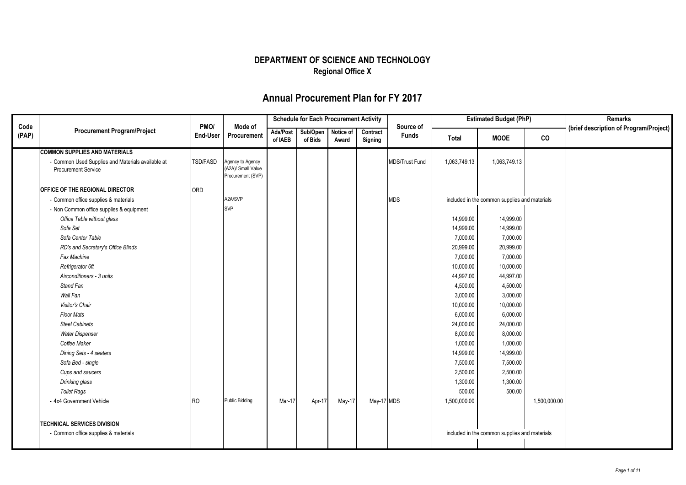|               |                                                                                 |                         |                                                             | <b>Schedule for Each Procurement Activity</b> |                     |                    | <b>Estimated Budget (PhP)</b> |                           |              | <b>Remarks</b>                                |              |                                        |
|---------------|---------------------------------------------------------------------------------|-------------------------|-------------------------------------------------------------|-----------------------------------------------|---------------------|--------------------|-------------------------------|---------------------------|--------------|-----------------------------------------------|--------------|----------------------------------------|
| Code<br>(PAP) | <b>Procurement Program/Project</b>                                              | PMO/<br><b>End-User</b> | Mode of<br>Procurement                                      | Ads/Post<br>of IAEB                           | Sub/Open<br>of Bids | Notice of<br>Award | Contract<br>Signing           | Source of<br><b>Funds</b> | Total        | <b>MOOE</b>                                   | co           | (brief description of Program/Project) |
|               | <b>COMMON SUPPLIES AND MATERIALS</b>                                            |                         |                                                             |                                               |                     |                    |                               |                           |              |                                               |              |                                        |
|               | - Common Used Supplies and Materials available at<br><b>Procurement Service</b> | <b>TSD/FASD</b>         | Agency to Agency<br>(A2A)/ Small Value<br>Procurement (SVP) |                                               |                     |                    |                               | <b>MDS/Trust Fund</b>     | 1,063,749.13 | 1,063,749.13                                  |              |                                        |
|               | <b>OFFICE OF THE REGIONAL DIRECTOR</b>                                          | ORD                     |                                                             |                                               |                     |                    |                               |                           |              |                                               |              |                                        |
|               | - Common office supplies & materials                                            |                         | A2A/SVP                                                     |                                               |                     |                    |                               | <b>MDS</b>                |              | included in the common supplies and materials |              |                                        |
|               | - Non Common office supplies & equipment                                        |                         | <b>SVP</b>                                                  |                                               |                     |                    |                               |                           |              |                                               |              |                                        |
|               | Office Table without glass                                                      |                         |                                                             |                                               |                     |                    |                               |                           | 14,999.00    | 14,999.00                                     |              |                                        |
|               | Sofa Set                                                                        |                         |                                                             |                                               |                     |                    |                               |                           | 14,999.00    | 14,999.00                                     |              |                                        |
|               | Sofa Center Table                                                               |                         |                                                             |                                               |                     |                    |                               |                           | 7,000.00     | 7,000.00                                      |              |                                        |
|               | RD's and Secretary's Office Blinds                                              |                         |                                                             |                                               |                     |                    |                               |                           | 20,999.00    | 20,999.00                                     |              |                                        |
|               | Fax Machine                                                                     |                         |                                                             |                                               |                     |                    |                               |                           | 7,000.00     | 7,000.00                                      |              |                                        |
|               | Refrigerator 6ft                                                                |                         |                                                             |                                               |                     |                    |                               |                           | 10,000.00    | 10,000.00                                     |              |                                        |
|               | Airconditioners - 3 units                                                       |                         |                                                             |                                               |                     |                    |                               |                           | 44,997.00    | 44,997.00                                     |              |                                        |
|               | Stand Fan                                                                       |                         |                                                             |                                               |                     |                    |                               |                           | 4,500.00     | 4,500.00                                      |              |                                        |
|               | Wall Fan                                                                        |                         |                                                             |                                               |                     |                    |                               |                           | 3,000.00     | 3,000.00                                      |              |                                        |
|               | <b>Visitor's Chair</b>                                                          |                         |                                                             |                                               |                     |                    |                               |                           | 10,000.00    | 10,000.00                                     |              |                                        |
|               | <b>Floor Mats</b>                                                               |                         |                                                             |                                               |                     |                    |                               |                           | 6,000.00     | 6,000.00                                      |              |                                        |
|               | <b>Steel Cabinets</b>                                                           |                         |                                                             |                                               |                     |                    |                               |                           | 24,000.00    | 24,000.00                                     |              |                                        |
|               | <b>Water Dispenser</b>                                                          |                         |                                                             |                                               |                     |                    |                               |                           | 8,000.00     | 8,000.00                                      |              |                                        |
|               | Coffee Maker                                                                    |                         |                                                             |                                               |                     |                    |                               |                           | 1,000.00     | 1,000.00                                      |              |                                        |
|               | Dining Sets - 4 seaters                                                         |                         |                                                             |                                               |                     |                    |                               |                           | 14,999.00    | 14,999.00                                     |              |                                        |
|               | Sofa Bed - single                                                               |                         |                                                             |                                               |                     |                    |                               |                           | 7,500.00     | 7,500.00                                      |              |                                        |
|               | Cups and saucers                                                                |                         |                                                             |                                               |                     |                    |                               |                           | 2,500.00     | 2,500.00                                      |              |                                        |
|               | Drinking glass                                                                  |                         |                                                             |                                               |                     |                    |                               |                           | 1,300.00     | 1,300.00                                      |              |                                        |
|               | <b>Toilet Rags</b>                                                              |                         |                                                             |                                               |                     |                    |                               |                           | 500.00       | 500.00                                        |              |                                        |
|               | - 4x4 Government Vehicle                                                        | <b>RO</b>               | <b>Public Bidding</b>                                       | Mar-17                                        | Apr-17              | May-17             | May-17 MDS                    |                           | 1,500,000.00 |                                               | 1,500,000.00 |                                        |
|               | <b>TECHNICAL SERVICES DIVISION</b>                                              |                         |                                                             |                                               |                     |                    |                               |                           |              |                                               |              |                                        |
|               | - Common office supplies & materials                                            |                         |                                                             |                                               |                     |                    |                               |                           |              | included in the common supplies and materials |              |                                        |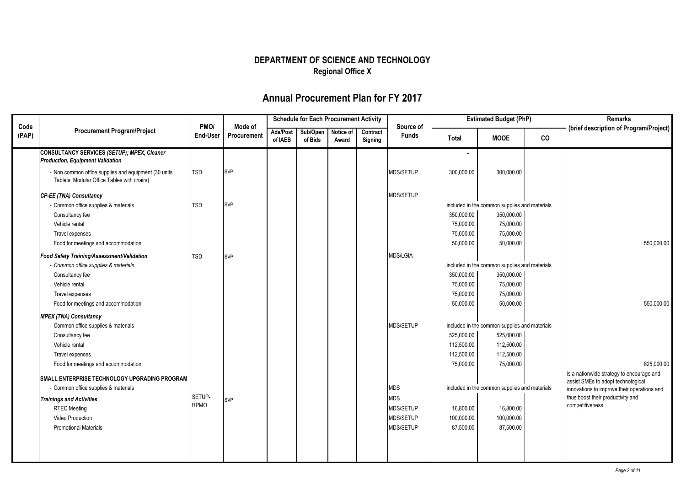|               |                                                                                                     |                  |                        |                     | <b>Schedule for Each Procurement Activity</b> |                    |                     |                           |            | <b>Estimated Budget (PhP)</b>                 |    | Remarks                                                                           |
|---------------|-----------------------------------------------------------------------------------------------------|------------------|------------------------|---------------------|-----------------------------------------------|--------------------|---------------------|---------------------------|------------|-----------------------------------------------|----|-----------------------------------------------------------------------------------|
| Code<br>(PAP) | <b>Procurement Program/Project</b>                                                                  | PMO/<br>End-User | Mode of<br>Procurement | Ads/Post<br>of IAEB | Sub/Open<br>of Bids                           | Notice of<br>Award | Contract<br>Signing | Source of<br><b>Funds</b> | Total      | <b>MOOE</b>                                   | co | (brief description of Program/Project)                                            |
|               | CONSULTANCY SERVICES (SETUP); MPEX, Cleaner<br><b>Production, Equipment Validation</b>              |                  |                        |                     |                                               |                    |                     |                           |            |                                               |    |                                                                                   |
|               | - Non common office supplies and equipment (30 units<br>Tablets, Modular Office Tables with chairs) | <b>TSD</b>       | <b>SVP</b>             |                     |                                               |                    |                     | MDS/SETUP                 | 300,000.00 | 300,000.00                                    |    |                                                                                   |
|               | <b>CP-EE (TNA) Consultancy</b>                                                                      |                  |                        |                     |                                               |                    |                     | MDS/SETUP                 |            |                                               |    |                                                                                   |
|               | - Common office supplies & materials                                                                | <b>TSD</b>       | <b>SVP</b>             |                     |                                               |                    |                     |                           |            | included in the common supplies and materials |    |                                                                                   |
|               | Consultancy fee                                                                                     |                  |                        |                     |                                               |                    |                     |                           | 350,000.00 | 350,000.00                                    |    |                                                                                   |
|               | Vehicle rental                                                                                      |                  |                        |                     |                                               |                    |                     |                           | 75,000.00  | 75,000.00                                     |    |                                                                                   |
|               | Travel expenses                                                                                     |                  |                        |                     |                                               |                    |                     |                           | 75,000.00  | 75,000.00                                     |    |                                                                                   |
|               | Food for meetings and accommodation                                                                 |                  |                        |                     |                                               |                    |                     |                           | 50,000.00  | 50,000.00                                     |    | 550,000.00                                                                        |
|               | Food Safety Training/Assessment/Validation                                                          | <b>TSD</b>       | <b>SVP</b>             |                     |                                               |                    |                     | <b>MDS/LGIA</b>           |            |                                               |    |                                                                                   |
|               | - Common office supplies & materials                                                                |                  |                        |                     |                                               |                    |                     |                           |            | included in the common supplies and materials |    |                                                                                   |
|               | Consultancy fee                                                                                     |                  |                        |                     |                                               |                    |                     |                           | 350,000.00 | 350,000.00                                    |    |                                                                                   |
|               | Vehicle rental                                                                                      |                  |                        |                     |                                               |                    |                     |                           | 75,000.00  | 75,000.00                                     |    |                                                                                   |
|               | Travel expenses                                                                                     |                  |                        |                     |                                               |                    |                     |                           | 75,000.00  | 75,000.00                                     |    |                                                                                   |
|               | Food for meetings and accommodation                                                                 |                  |                        |                     |                                               |                    |                     |                           | 50,000.00  | 50,000.00                                     |    | 550,000.00                                                                        |
|               | <b>MPEX (TNA) Consultancy</b>                                                                       |                  |                        |                     |                                               |                    |                     |                           |            |                                               |    |                                                                                   |
|               | - Common office supplies & materials                                                                |                  |                        |                     |                                               |                    |                     | MDS/SETUP                 |            | included in the common supplies and materials |    |                                                                                   |
|               | Consultancy fee                                                                                     |                  |                        |                     |                                               |                    |                     |                           | 525,000.00 | 525,000.00                                    |    |                                                                                   |
|               | Vehicle rental                                                                                      |                  |                        |                     |                                               |                    |                     |                           | 112,500.00 | 112,500.00                                    |    |                                                                                   |
|               | Travel expenses                                                                                     |                  |                        |                     |                                               |                    |                     |                           | 112,500.00 | 112,500.00                                    |    |                                                                                   |
|               | Food for meetings and accommodation                                                                 |                  |                        |                     |                                               |                    |                     |                           | 75,000.00  | 75,000.00                                     |    | 825,000.00                                                                        |
|               | SMALL ENTERPRISE TECHNOLOGY UPGRADING PROGRAM                                                       |                  |                        |                     |                                               |                    |                     |                           |            |                                               |    | is a nationwide strategy to encourage and                                         |
|               | - Common office supplies & materials                                                                |                  |                        |                     |                                               |                    |                     | <b>MDS</b>                |            | included in the common supplies and materials |    | assist SMEs to adopt technological<br>innovations to improve their operations and |
|               | <b>Trainings and Activities</b>                                                                     | SETUP-           | <b>SVP</b>             |                     |                                               |                    |                     | <b>MDS</b>                |            |                                               |    | thus boost their productivity and                                                 |
|               | <b>RTEC Meeting</b>                                                                                 | <b>RPMO</b>      |                        |                     |                                               |                    |                     | MDS/SETUP                 | 16,800.00  | 16,800.00                                     |    | competitiveness.                                                                  |
|               | <b>Video Production</b>                                                                             |                  |                        |                     |                                               |                    |                     | MDS/SETUP                 | 100,000.00 | 100,000.00                                    |    |                                                                                   |
|               | <b>Promotional Materials</b>                                                                        |                  |                        |                     |                                               |                    |                     | MDS/SETUP                 | 87,500.00  | 87,500.00                                     |    |                                                                                   |
|               |                                                                                                     |                  |                        |                     |                                               |                    |                     |                           |            |                                               |    |                                                                                   |
|               |                                                                                                     |                  |                        |                     |                                               |                    |                     |                           |            |                                               |    |                                                                                   |
|               |                                                                                                     |                  |                        |                     |                                               |                    |                     |                           |            |                                               |    |                                                                                   |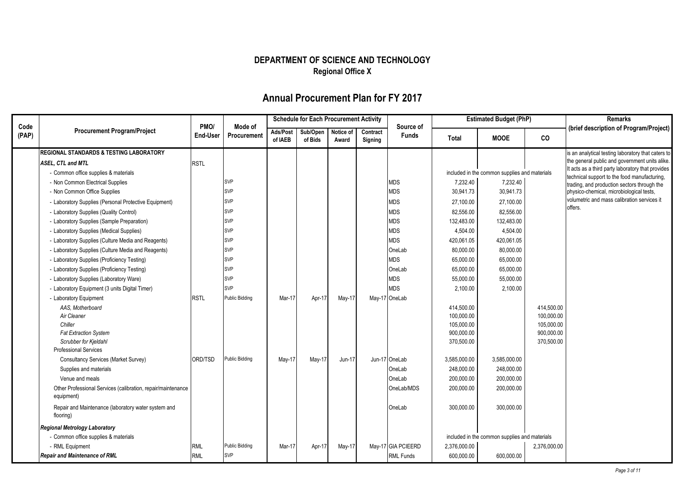|               |                                                                                                                                                                                                                                                                                                                                                                                                                                                                                                                                                                                                                                                                                                                                                                                                                                  |                            |                                                                                                                                                                          |                     | <b>Schedule for Each Procurement Activity</b> |                    |                     |                                                                                                                                                                               |                                                                                                                                                                                                                               | <b>Estimated Budget (PhP)</b>                                                                                                                                                                            |                                                                    | <b>Remarks</b>                                                                                                                                                                                                                                                                                                                                                 |
|---------------|----------------------------------------------------------------------------------------------------------------------------------------------------------------------------------------------------------------------------------------------------------------------------------------------------------------------------------------------------------------------------------------------------------------------------------------------------------------------------------------------------------------------------------------------------------------------------------------------------------------------------------------------------------------------------------------------------------------------------------------------------------------------------------------------------------------------------------|----------------------------|--------------------------------------------------------------------------------------------------------------------------------------------------------------------------|---------------------|-----------------------------------------------|--------------------|---------------------|-------------------------------------------------------------------------------------------------------------------------------------------------------------------------------|-------------------------------------------------------------------------------------------------------------------------------------------------------------------------------------------------------------------------------|----------------------------------------------------------------------------------------------------------------------------------------------------------------------------------------------------------|--------------------------------------------------------------------|----------------------------------------------------------------------------------------------------------------------------------------------------------------------------------------------------------------------------------------------------------------------------------------------------------------------------------------------------------------|
| Code<br>(PAP) | <b>Procurement Program/Project</b>                                                                                                                                                                                                                                                                                                                                                                                                                                                                                                                                                                                                                                                                                                                                                                                               | PMO/<br><b>End-User</b>    | Mode of<br>Procurement                                                                                                                                                   | Ads/Post<br>of IAEB | Sub/Open<br>of Bids                           | Notice of<br>Award | Contract<br>Signing | Source of<br><b>Funds</b>                                                                                                                                                     | <b>Total</b>                                                                                                                                                                                                                  | <b>MOOE</b>                                                                                                                                                                                              | CO                                                                 | (brief description of Program/Project)                                                                                                                                                                                                                                                                                                                         |
|               | <b>REGIONAL STANDARDS &amp; TESTING LABORATORY</b><br><b>ASEL, CTL and MTL</b><br>- Common office supplies & materials<br>- Non Common Electrical Supplies<br>- Non Common Office Supplies<br>- Laboratory Supplies (Personal Protective Equipment)<br>- Laboratory Supplies (Quality Control)<br>- Laboratory Supplies (Sample Preparation)<br>- Laboratory Supplies (Medical Supplies)<br>- Laboratory Supplies (Culture Media and Reagents)<br>- Laboratory Supplies (Culture Media and Reagents)<br>- Laboratory Supplies (Proficiency Testing)<br>- Laboratory Supplies (Proficiency Testing)<br>- Laboratory Supplies (Laboratory Ware)<br>- Laboratory Equipment (3 units Digital Timer)<br>- Laboratory Equipment<br>AAS. Motherboard<br>Air Cleaner<br>Chiller<br><b>Fat Extraction System</b><br>Scrubber for Kjeldahl | <b>RSTL</b><br><b>RSTL</b> | <b>SVP</b><br><b>SVP</b><br><b>SVP</b><br><b>SVP</b><br>SVP<br><b>SVP</b><br>SVP<br><b>SVP</b><br><b>SVP</b><br><b>SVP</b><br><b>SVP</b><br><b>SVP</b><br>Public Bidding | Mar-17              | Apr-17                                        | May-17             |                     | <b>MDS</b><br><b>MDS</b><br><b>MDS</b><br><b>MDS</b><br><b>MDS</b><br><b>MDS</b><br><b>MDS</b><br>OneLab<br><b>MDS</b><br>OneLab<br><b>MDS</b><br><b>MDS</b><br>May-17 OneLab | 7,232.40<br>30,941.73<br>27,100.00<br>82,556.00<br>132,483.00<br>4,504.00<br>420,061.05<br>80,000.00<br>65,000.00<br>65,000.00<br>55,000.00<br>2,100.00<br>414,500.00<br>100,000.00<br>105,000.00<br>900,000.00<br>370,500.00 | included in the common supplies and materials<br>7,232.40<br>30,941.73<br>27,100.00<br>82,556.00<br>132,483.00<br>4,504.00<br>420,061.05<br>80,000.00<br>65,000.00<br>65,000.00<br>55,000.00<br>2,100.00 | 414,500.00<br>100,000.00<br>105,000.00<br>900.000.00<br>370,500.00 | is an analytical testing laboratory that caters to<br>the general public and government units alike.<br>It acts as a third party laboratory that provides<br>technical support to the food manufacturing.<br>trading, and production sectors through the<br>physico-chemical, microbiological tests,<br>volumetric and mass calibration services it<br>offers. |
|               | <b>Professional Services</b><br>Consultancy Services (Market Survey)<br>Supplies and materials<br>Venue and meals<br>Other Professional Services (calibration, repair/maintenance<br>equipment)<br>Repair and Maintenance (laboratory water system and<br>flooring)<br><b>Regional Metrology Laboratory</b><br>- Common office supplies & materials                                                                                                                                                                                                                                                                                                                                                                                                                                                                              | ORD/TSD                    | Public Bidding                                                                                                                                                           | May-17              | May-17                                        | Jun-17             |                     | Jun-17 OneLab<br>OneLab<br>OneLab<br>OneLab/MDS<br>OneLab                                                                                                                     | 3,585,000.00<br>248,000.00<br>200,000.00<br>200,000.00<br>300,000.00                                                                                                                                                          | 3,585,000.00<br>248,000.00<br>200.000.00<br>200,000.00<br>300,000.00<br>included in the common supplies and materials                                                                                    |                                                                    |                                                                                                                                                                                                                                                                                                                                                                |
|               | - RML Equipment<br><b>Repair and Maintenance of RML</b>                                                                                                                                                                                                                                                                                                                                                                                                                                                                                                                                                                                                                                                                                                                                                                          | <b>RML</b><br><b>RML</b>   | Public Bidding<br><b>SVP</b>                                                                                                                                             | Mar-17              | Apr-17                                        | May-17             |                     | May-17 GIA PCIEERD<br><b>RML Funds</b>                                                                                                                                        | 2,376,000.00<br>600,000.00                                                                                                                                                                                                    | 600,000.00                                                                                                                                                                                               | 2,376,000.00                                                       |                                                                                                                                                                                                                                                                                                                                                                |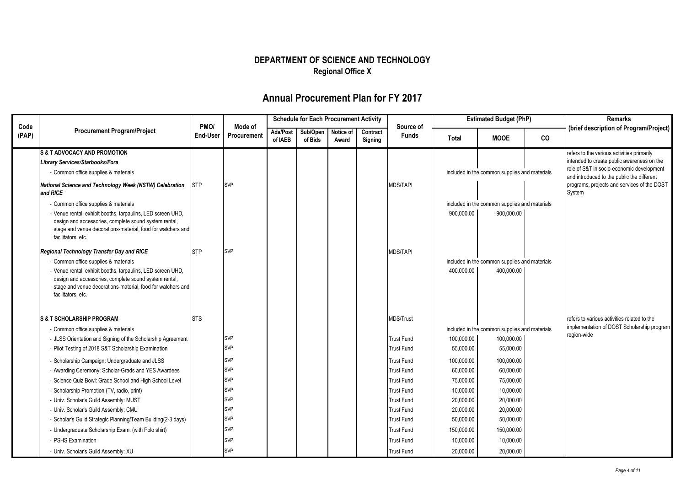|               |                                                                                                                                                                                                           |                  |                        |                     | <b>Schedule for Each Procurement Activity</b> |                    |                     |                           |              | <b>Estimated Budget (PhP)</b>                 |    | <b>Remarks</b>                                                                          |
|---------------|-----------------------------------------------------------------------------------------------------------------------------------------------------------------------------------------------------------|------------------|------------------------|---------------------|-----------------------------------------------|--------------------|---------------------|---------------------------|--------------|-----------------------------------------------|----|-----------------------------------------------------------------------------------------|
| Code<br>(PAP) | <b>Procurement Program/Project</b>                                                                                                                                                                        | PMO/<br>End-User | Mode of<br>Procurement | Ads/Post<br>of IAEB | Sub/Open<br>of Bids                           | Notice of<br>Award | Contract<br>Signing | Source of<br><b>Funds</b> | <b>Total</b> | <b>MOOE</b>                                   | co | (brief description of Program/Project)                                                  |
|               | <b>S &amp; T ADVOCACY AND PROMOTION</b>                                                                                                                                                                   |                  |                        |                     |                                               |                    |                     |                           |              |                                               |    | refers to the various activities primarily                                              |
|               | Library Services/Starbooks/Fora                                                                                                                                                                           |                  |                        |                     |                                               |                    |                     |                           |              |                                               |    | intended to create public awareness on the<br>role of S&T in socio-economic development |
|               | - Common office supplies & materials                                                                                                                                                                      |                  |                        |                     |                                               |                    |                     |                           |              | included in the common supplies and materials |    | and introduced to the public the different                                              |
|               | National Science and Technology Week (NSTW) Celebration<br>and RICE                                                                                                                                       | <b>STP</b>       | <b>SVP</b>             |                     |                                               |                    |                     | <b>MDS/TAPI</b>           |              |                                               |    | programs, projects and services of the DOST<br>System                                   |
|               | - Common office supplies & materials                                                                                                                                                                      |                  |                        |                     |                                               |                    |                     |                           |              | included in the common supplies and materials |    |                                                                                         |
|               | - Venue rental, exhibit booths, tarpaulins, LED screen UHD,<br>design and accessories, complete sound system rental,<br>stage and venue decorations-material, food for watchers and<br>facilitators, etc. |                  |                        |                     |                                               |                    |                     |                           | 900,000.00   | 900,000.00                                    |    |                                                                                         |
|               | Regional Technology Transfer Day and RICE                                                                                                                                                                 | <b>STP</b>       | <b>SVP</b>             |                     |                                               |                    |                     | <b>MDS/TAPI</b>           |              |                                               |    |                                                                                         |
|               | - Common office supplies & materials                                                                                                                                                                      |                  |                        |                     |                                               |                    |                     |                           |              | included in the common supplies and materials |    |                                                                                         |
|               | - Venue rental, exhibit booths, tarpaulins, LED screen UHD,<br>design and accessories, complete sound system rental,<br>stage and venue decorations-material, food for watchers and<br>facilitators, etc. |                  |                        |                     |                                               |                    |                     |                           | 400,000.00   | 400,000.00                                    |    |                                                                                         |
|               | <b>S &amp; T SCHOLARSHIP PROGRAM</b>                                                                                                                                                                      | <b>STS</b>       |                        |                     |                                               |                    |                     | <b>MDS/Trust</b>          |              |                                               |    | refers to various activities related to the                                             |
|               | - Common office supplies & materials                                                                                                                                                                      |                  |                        |                     |                                               |                    |                     |                           |              | included in the common supplies and materials |    | implementation of DOST Scholarship program                                              |
|               | - JLSS Orientation and Signing of the Scholarship Agreement                                                                                                                                               |                  | <b>SVP</b>             |                     |                                               |                    |                     | <b>Trust Fund</b>         | 100,000.00   | 100,000.00                                    |    | region-wide                                                                             |
|               | - Pilot Testing of 2018 S&T Scholarship Examination                                                                                                                                                       |                  | SVP                    |                     |                                               |                    |                     | Trust Fund                | 55,000.00    | 55,000.00                                     |    |                                                                                         |
|               | - Scholarship Campaign: Undergraduate and JLSS                                                                                                                                                            |                  | SVP                    |                     |                                               |                    |                     | Trust Fund                | 100,000.00   | 100,000.00                                    |    |                                                                                         |
|               | - Awarding Ceremony: Scholar-Grads and YES Awardees                                                                                                                                                       |                  | SVP                    |                     |                                               |                    |                     | Trust Fund                | 60.000.00    | 60,000.00                                     |    |                                                                                         |
|               | - Science Quiz Bowl: Grade School and High School Level                                                                                                                                                   |                  | <b>SVP</b>             |                     |                                               |                    |                     | <b>Trust Fund</b>         | 75,000.00    | 75,000.00                                     |    |                                                                                         |
|               | - Scholarship Promotion (TV, radio, print)                                                                                                                                                                |                  | <b>SVP</b>             |                     |                                               |                    |                     | <b>Trust Fund</b>         | 10,000.00    | 10,000.00                                     |    |                                                                                         |
|               | - Univ. Scholar's Guild Assembly: MUST                                                                                                                                                                    |                  | <b>SVP</b>             |                     |                                               |                    |                     | <b>Trust Fund</b>         | 20,000.00    | 20,000.00                                     |    |                                                                                         |
|               | - Univ. Scholar's Guild Assembly: CMU                                                                                                                                                                     |                  | <b>SVP</b>             |                     |                                               |                    |                     | Trust Fund                | 20,000.00    | 20,000.00                                     |    |                                                                                         |
|               | - Scholar's Guild Strategic Planning/Team Building(2-3 days)                                                                                                                                              |                  | <b>SVP</b>             |                     |                                               |                    |                     | <b>Trust Fund</b>         | 50,000.00    | 50,000.00                                     |    |                                                                                         |
|               | - Undergraduate Scholarship Exam: (with Polo shirt)                                                                                                                                                       |                  | SVP                    |                     |                                               |                    |                     | <b>Trust Fund</b>         | 150,000.00   | 150,000.00                                    |    |                                                                                         |
|               | - PSHS Examination                                                                                                                                                                                        |                  | <b>SVP</b>             |                     |                                               |                    |                     | <b>Trust Fund</b>         | 10,000.00    | 10,000.00                                     |    |                                                                                         |
|               | - Univ. Scholar's Guild Assembly: XU                                                                                                                                                                      |                  | <b>SVP</b>             |                     |                                               |                    |                     | <b>Trust Fund</b>         | 20,000.00    | 20,000.00                                     |    |                                                                                         |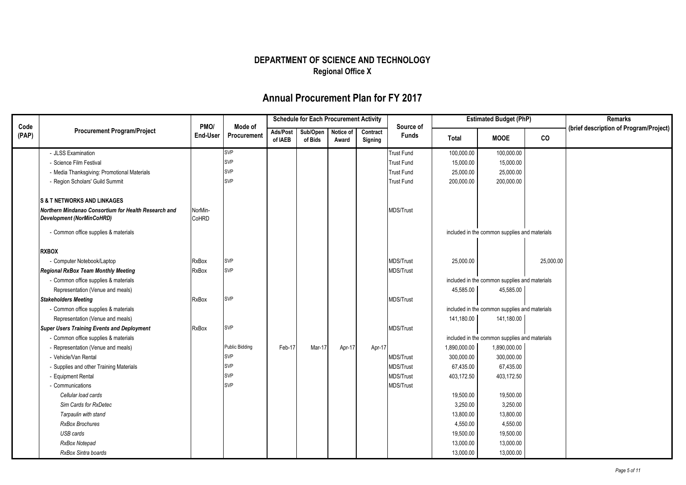|               |                                                                                          |                         |                        |          | <b>Schedule for Each Procurement Activity</b> |           |          |                           |              | <b>Estimated Budget (PhP)</b>                 |           | Remarks                                |
|---------------|------------------------------------------------------------------------------------------|-------------------------|------------------------|----------|-----------------------------------------------|-----------|----------|---------------------------|--------------|-----------------------------------------------|-----------|----------------------------------------|
| Code<br>(PAP) | <b>Procurement Program/Project</b>                                                       | PMO/<br><b>End-User</b> | Mode of<br>Procurement | Ads/Post | Sub/Open                                      | Notice of | Contract | Source of<br><b>Funds</b> |              |                                               |           | (brief description of Program/Project) |
|               |                                                                                          |                         |                        | of IAEB  | of Bids                                       | Award     | Signing  |                           | Total        | <b>MOOE</b>                                   | co        |                                        |
|               | - JLSS Examination                                                                       |                         | SVP                    |          |                                               |           |          | <b>Trust Fund</b>         | 100,000.00   | 100,000.00                                    |           |                                        |
|               | - Science Film Festival                                                                  |                         | <b>SVP</b>             |          |                                               |           |          | Trust Fund                | 15,000.00    | 15,000.00                                     |           |                                        |
|               | - Media Thanksgiving: Promotional Materials                                              |                         | <b>SVP</b>             |          |                                               |           |          | <b>Trust Fund</b>         | 25,000.00    | 25,000.00                                     |           |                                        |
|               | - Region Scholars' Guild Summit                                                          |                         | <b>SVP</b>             |          |                                               |           |          | <b>Trust Fund</b>         | 200,000.00   | 200,000.00                                    |           |                                        |
|               | <b>S &amp; T NETWORKS AND LINKAGES</b>                                                   |                         |                        |          |                                               |           |          |                           |              |                                               |           |                                        |
|               | Northern Mindanao Consortium for Health Research and<br><b>Development (NorMinCoHRD)</b> | NorMin-<br><b>CoHRD</b> |                        |          |                                               |           |          | <b>MDS/Trust</b>          |              |                                               |           |                                        |
|               | - Common office supplies & materials                                                     |                         |                        |          |                                               |           |          |                           |              | included in the common supplies and materials |           |                                        |
|               | <b>RXBOX</b>                                                                             |                         |                        |          |                                               |           |          |                           |              |                                               |           |                                        |
|               | - Computer Notebook/Laptop                                                               | RxBox                   | <b>SVP</b>             |          |                                               |           |          | <b>MDS/Trust</b>          | 25,000.00    |                                               | 25,000.00 |                                        |
|               | <b>Regional RxBox Team Monthly Meeting</b>                                               | RxBox                   | SVP                    |          |                                               |           |          | MDS/Trust                 |              |                                               |           |                                        |
|               | - Common office supplies & materials                                                     |                         |                        |          |                                               |           |          |                           |              | included in the common supplies and materials |           |                                        |
|               | Representation (Venue and meals)                                                         |                         |                        |          |                                               |           |          |                           | 45,585.00    | 45,585.00                                     |           |                                        |
|               | <b>Stakeholders Meeting</b>                                                              | <b>RxBox</b>            | SVP                    |          |                                               |           |          | <b>MDS/Trust</b>          |              |                                               |           |                                        |
|               | - Common office supplies & materials                                                     |                         |                        |          |                                               |           |          |                           |              | included in the common supplies and materials |           |                                        |
|               | Representation (Venue and meals)                                                         |                         |                        |          |                                               |           |          |                           | 141,180.00   | 141,180.00                                    |           |                                        |
|               | <b>Super Users Training Events and Deployment</b>                                        | <b>RxBox</b>            | <b>SVP</b>             |          |                                               |           |          | MDS/Trust                 |              |                                               |           |                                        |
|               | - Common office supplies & materials                                                     |                         |                        |          |                                               |           |          |                           |              | included in the common supplies and materials |           |                                        |
|               | - Representation (Venue and meals)                                                       |                         | <b>Public Bidding</b>  | Feb-17   | Mar-17                                        | Apr-17    | Apr-17   |                           | 1,890,000.00 | 1,890,000.00                                  |           |                                        |
|               | - Vehicle/Van Rental                                                                     |                         | <b>SVP</b>             |          |                                               |           |          | <b>MDS/Trust</b>          | 300,000.00   | 300,000.00                                    |           |                                        |
|               | - Supplies and other Training Materials                                                  |                         | <b>SVP</b>             |          |                                               |           |          | <b>MDS/Trust</b>          | 67,435.00    | 67,435.00                                     |           |                                        |
|               | - Equipment Rental                                                                       |                         | <b>SVP</b>             |          |                                               |           |          | MDS/Trust                 | 403,172.50   | 403,172.50                                    |           |                                        |
|               | - Communications                                                                         |                         | <b>SVP</b>             |          |                                               |           |          | MDS/Trust                 |              |                                               |           |                                        |
|               | Cellular load cards                                                                      |                         |                        |          |                                               |           |          |                           | 19,500.00    | 19,500.00                                     |           |                                        |
|               | Sim Cards for RxDetec                                                                    |                         |                        |          |                                               |           |          |                           | 3,250.00     | 3,250.00                                      |           |                                        |
|               | Tarpaulin with stand                                                                     |                         |                        |          |                                               |           |          |                           | 13,800.00    | 13,800.00                                     |           |                                        |
|               | <b>RxBox Brochures</b>                                                                   |                         |                        |          |                                               |           |          |                           | 4,550.00     | 4,550.00                                      |           |                                        |
|               | USB cards                                                                                |                         |                        |          |                                               |           |          |                           | 19,500.00    | 19,500.00                                     |           |                                        |
|               | RxBox Notepad                                                                            |                         |                        |          |                                               |           |          |                           | 13,000.00    | 13,000.00                                     |           |                                        |
|               | RxBox Sintra boards                                                                      |                         |                        |          |                                               |           |          |                           | 13,000.00    | 13,000.00                                     |           |                                        |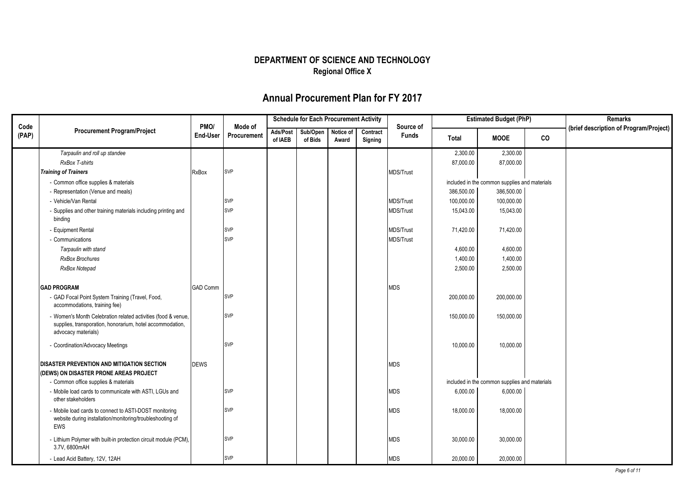|               |                                                                                                                                                   |                         |                        | <b>Schedule for Each Procurement Activity</b> |                               |       |                     |                           |            | <b>Estimated Budget (PhP)</b>                 |    | Remarks                                |
|---------------|---------------------------------------------------------------------------------------------------------------------------------------------------|-------------------------|------------------------|-----------------------------------------------|-------------------------------|-------|---------------------|---------------------------|------------|-----------------------------------------------|----|----------------------------------------|
| Code<br>(PAP) | <b>Procurement Program/Project</b>                                                                                                                | PMO/<br><b>End-User</b> | Mode of<br>Procurement | Ads/Post<br>of IAEB                           | Sub/Open Notice of<br>of Bids | Award | Contract<br>Signing | Source of<br><b>Funds</b> | Total      | <b>MOOE</b>                                   | CO | (brief description of Program/Project) |
|               | Tarpaulin and roll up standee                                                                                                                     |                         |                        |                                               |                               |       |                     |                           | 2,300.00   | 2,300.00                                      |    |                                        |
|               | RxBox T-shirts                                                                                                                                    |                         |                        |                                               |                               |       |                     |                           | 87,000.00  | 87,000.00                                     |    |                                        |
|               | <b>Training of Trainers</b>                                                                                                                       | <b>RxBox</b>            | <b>SVP</b>             |                                               |                               |       |                     | <b>MDS/Trust</b>          |            |                                               |    |                                        |
|               | - Common office supplies & materials                                                                                                              |                         |                        |                                               |                               |       |                     |                           |            | included in the common supplies and materials |    |                                        |
|               | - Representation (Venue and meals)                                                                                                                |                         |                        |                                               |                               |       |                     |                           | 386,500.00 | 386,500.00                                    |    |                                        |
|               | - Vehicle/Van Rental                                                                                                                              |                         | <b>SVP</b>             |                                               |                               |       |                     | <b>MDS/Trust</b>          | 100,000.00 | 100,000.00                                    |    |                                        |
|               | - Supplies and other training materials including printing and<br>binding                                                                         |                         | <b>SVP</b>             |                                               |                               |       |                     | <b>MDS/Trust</b>          | 15,043.00  | 15,043.00                                     |    |                                        |
|               | - Equipment Rental                                                                                                                                |                         | <b>SVP</b>             |                                               |                               |       |                     | MDS/Trust                 | 71,420.00  | 71,420.00                                     |    |                                        |
|               | - Communications                                                                                                                                  |                         | <b>SVP</b>             |                                               |                               |       |                     | MDS/Trust                 |            |                                               |    |                                        |
|               | Tarpaulin with stand                                                                                                                              |                         |                        |                                               |                               |       |                     |                           | 4,600.00   | 4,600.00                                      |    |                                        |
|               | <b>RxBox Brochures</b>                                                                                                                            |                         |                        |                                               |                               |       |                     |                           | 1,400.00   | 1,400.00                                      |    |                                        |
|               | RxBox Notepad                                                                                                                                     |                         |                        |                                               |                               |       |                     |                           | 2,500.00   | 2,500.00                                      |    |                                        |
|               |                                                                                                                                                   |                         |                        |                                               |                               |       |                     |                           |            |                                               |    |                                        |
|               | <b>GAD PROGRAM</b>                                                                                                                                | <b>GAD Comm</b>         |                        |                                               |                               |       |                     | <b>MDS</b>                |            |                                               |    |                                        |
|               | - GAD Focal Point System Training (Travel, Food,<br>accommodations, training fee)                                                                 |                         | <b>SVP</b>             |                                               |                               |       |                     |                           | 200,000.00 | 200,000.00                                    |    |                                        |
|               | - Women's Month Celebration related activities (food & venue,<br>supplies, transporation, honorarium, hotel accommodation,<br>advocacy materials) |                         | <b>SVP</b>             |                                               |                               |       |                     |                           | 150,000.00 | 150,000.00                                    |    |                                        |
|               | - Coordination/Advocacy Meetings                                                                                                                  |                         | <b>SVP</b>             |                                               |                               |       |                     |                           | 10,000.00  | 10,000.00                                     |    |                                        |
|               | DISASTER PREVENTION AND MITIGATION SECTION<br>(DEWS) ON DISASTER PRONE AREAS PROJECT                                                              | <b>DEWS</b>             |                        |                                               |                               |       |                     | <b>MDS</b>                |            |                                               |    |                                        |
|               | - Common office supplies & materials                                                                                                              |                         |                        |                                               |                               |       |                     |                           |            | included in the common supplies and materials |    |                                        |
|               | - Mobile load cards to communicate with ASTI, LGUs and<br>other stakeholders                                                                      |                         | <b>SVP</b>             |                                               |                               |       |                     | <b>MDS</b>                | 6,000.00   | 6,000.00                                      |    |                                        |
|               | - Mobile load cards to connect to ASTI-DOST monitoring<br>website during installation/monitoring/troubleshooting of<br>EWS                        |                         | <b>SVP</b>             |                                               |                               |       |                     | <b>MDS</b>                | 18,000.00  | 18,000.00                                     |    |                                        |
|               | - Lithium Polymer with built-in protection circuit module (PCM),<br>3.7V, 6800mAH                                                                 |                         | <b>SVP</b>             |                                               |                               |       |                     | <b>MDS</b>                | 30,000.00  | 30,000.00                                     |    |                                        |
|               | - Lead Acid Battery, 12V, 12AH                                                                                                                    |                         | <b>SVP</b>             |                                               |                               |       |                     | <b>MDS</b>                | 20,000.00  | 20,000.00                                     |    |                                        |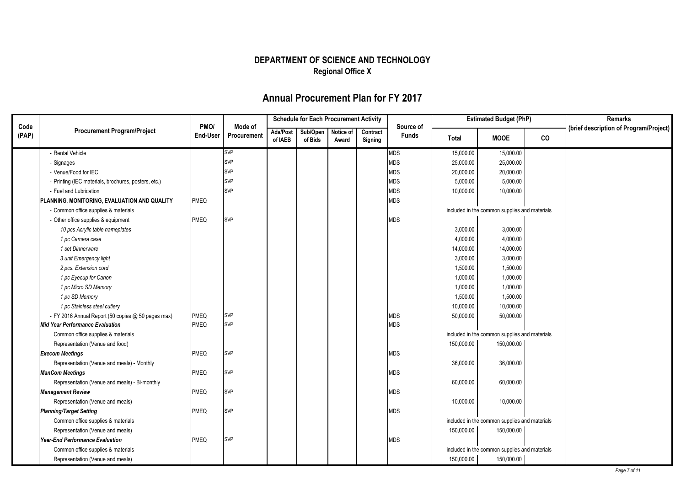|       |                                                      |             |             | <b>Schedule for Each Procurement Activity</b> |                    |       | <b>Estimated Budget (PhP)</b> |              |            | <b>Remarks</b>                                |    |                                        |
|-------|------------------------------------------------------|-------------|-------------|-----------------------------------------------|--------------------|-------|-------------------------------|--------------|------------|-----------------------------------------------|----|----------------------------------------|
| Code  | <b>Procurement Program/Project</b>                   | PMO/        | Mode of     | Ads/Post                                      | Sub/Open Notice of |       | Contract                      | Source of    |            |                                               |    | (brief description of Program/Project) |
| (PAP) |                                                      | End-User    | Procurement | of IAEB                                       | of Bids            | Award | Signing                       | <b>Funds</b> | Total      | <b>MOOE</b>                                   | co |                                        |
|       | - Rental Vehicle                                     |             | <b>SVP</b>  |                                               |                    |       |                               | <b>MDS</b>   | 15,000.00  | 15,000.00                                     |    |                                        |
|       | - Signages                                           |             | <b>SVP</b>  |                                               |                    |       |                               | <b>MDS</b>   | 25,000.00  | 25,000.00                                     |    |                                        |
|       | - Venue/Food for IEC                                 |             | <b>SVP</b>  |                                               |                    |       |                               | <b>MDS</b>   | 20,000.00  | 20,000.00                                     |    |                                        |
|       | - Printing (IEC materials, brochures, posters, etc.) |             | <b>SVP</b>  |                                               |                    |       |                               | <b>MDS</b>   | 5,000.00   | 5,000.00                                      |    |                                        |
|       | - Fuel and Lubrication                               |             | <b>SVP</b>  |                                               |                    |       |                               | <b>MDS</b>   | 10,000.00  | 10,000.00                                     |    |                                        |
|       | PLANNING, MONITORING, EVALUATION AND QUALITY         | <b>PMEQ</b> |             |                                               |                    |       |                               | <b>MDS</b>   |            |                                               |    |                                        |
|       | - Common office supplies & materials                 |             |             |                                               |                    |       |                               |              |            | included in the common supplies and materials |    |                                        |
|       | - Other office supplies & equipment                  | <b>PMEQ</b> | <b>SVP</b>  |                                               |                    |       |                               | <b>MDS</b>   |            |                                               |    |                                        |
|       | 10 pcs Acrylic table nameplates                      |             |             |                                               |                    |       |                               |              | 3,000.00   | 3,000.00                                      |    |                                        |
|       | 1 pc Camera case                                     |             |             |                                               |                    |       |                               |              | 4,000.00   | 4,000.00                                      |    |                                        |
|       | 1 set Dinnerware                                     |             |             |                                               |                    |       |                               |              | 14,000.00  | 14,000.00                                     |    |                                        |
|       | 3 unit Emergency light                               |             |             |                                               |                    |       |                               |              | 3,000.00   | 3,000.00                                      |    |                                        |
|       | 2 pcs. Extension cord                                |             |             |                                               |                    |       |                               |              | 1,500.00   | 1,500.00                                      |    |                                        |
|       | 1 pc Eyecup for Canon                                |             |             |                                               |                    |       |                               |              | 1,000.00   | 1,000.00                                      |    |                                        |
|       | 1 pc Micro SD Memory                                 |             |             |                                               |                    |       |                               |              | 1,000.00   | 1,000.00                                      |    |                                        |
|       | 1 pc SD Memory                                       |             |             |                                               |                    |       |                               |              | 1,500.00   | 1,500.00                                      |    |                                        |
|       | 1 pc Stainless steel cutlery                         |             |             |                                               |                    |       |                               |              | 10,000.00  | 10,000.00                                     |    |                                        |
|       | - FY 2016 Annual Report (50 copies @ 50 pages max)   | <b>PMEQ</b> | <b>SVP</b>  |                                               |                    |       |                               | <b>MDS</b>   | 50,000.00  | 50,000.00                                     |    |                                        |
|       | <b>Mid Year Performance Evaluation</b>               | PMEQ        | <b>SVP</b>  |                                               |                    |       |                               | <b>MDS</b>   |            |                                               |    |                                        |
|       | Common office supplies & materials                   |             |             |                                               |                    |       |                               |              |            | included in the common supplies and materials |    |                                        |
|       | Representation (Venue and food)                      |             |             |                                               |                    |       |                               |              | 150,000.00 | 150,000.00                                    |    |                                        |
|       | <b>Execom Meetings</b>                               | <b>PMEQ</b> | <b>SVP</b>  |                                               |                    |       |                               | <b>MDS</b>   |            |                                               |    |                                        |
|       | Representation (Venue and meals) - Monthly           |             |             |                                               |                    |       |                               |              | 36,000.00  | 36,000.00                                     |    |                                        |
|       | <b>ManCom Meetings</b>                               | <b>PMEQ</b> | <b>SVP</b>  |                                               |                    |       |                               | <b>MDS</b>   |            |                                               |    |                                        |
|       | Representation (Venue and meals) - Bi-monthly        |             |             |                                               |                    |       |                               |              | 60,000.00  | 60,000.00                                     |    |                                        |
|       | <b>Management Review</b>                             | <b>PMEQ</b> | <b>SVP</b>  |                                               |                    |       |                               | <b>MDS</b>   |            |                                               |    |                                        |
|       | Representation (Venue and meals)                     |             |             |                                               |                    |       |                               |              | 10,000.00  | 10,000.00                                     |    |                                        |
|       | <b>Planning/Target Setting</b>                       | <b>PMEQ</b> | <b>SVP</b>  |                                               |                    |       |                               | <b>MDS</b>   |            |                                               |    |                                        |
|       | Common office supplies & materials                   |             |             |                                               |                    |       |                               |              |            | included in the common supplies and materials |    |                                        |
|       | Representation (Venue and meals)                     |             |             |                                               |                    |       |                               |              | 150,000.00 | 150,000.00                                    |    |                                        |
|       | <b>Year-End Performance Evaluation</b>               | <b>PMEQ</b> | <b>SVP</b>  |                                               |                    |       |                               | <b>MDS</b>   |            |                                               |    |                                        |
|       | Common office supplies & materials                   |             |             |                                               |                    |       |                               |              |            | included in the common supplies and materials |    |                                        |
|       | Representation (Venue and meals)                     |             |             |                                               |                    |       |                               |              | 150,000.00 | 150,000.00                                    |    |                                        |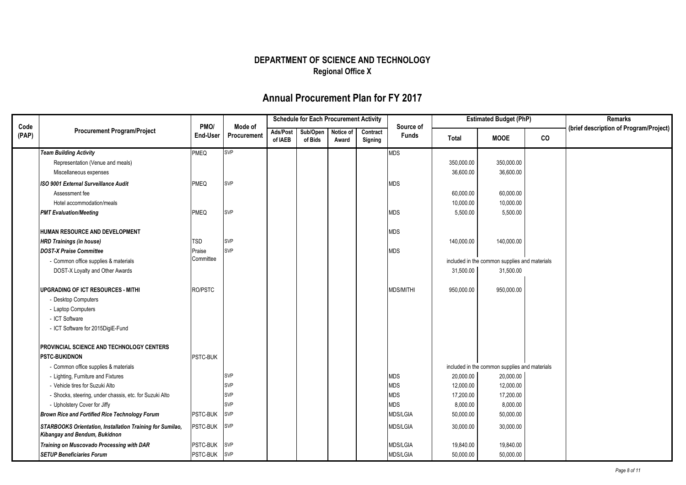|               |                                                                                                   |                  |                        |                     | <b>Schedule for Each Procurement Activity</b> |                    |                     |                           |            | <b>Estimated Budget (PhP)</b>                 |    | Remarks                                |
|---------------|---------------------------------------------------------------------------------------------------|------------------|------------------------|---------------------|-----------------------------------------------|--------------------|---------------------|---------------------------|------------|-----------------------------------------------|----|----------------------------------------|
| Code<br>(PAP) | <b>Procurement Program/Project</b>                                                                | PMO/<br>End-User | Mode of<br>Procurement | Ads/Post<br>of IAEB | Sub/Open<br>of Bids                           | Notice of<br>Award | Contract<br>Signing | Source of<br><b>Funds</b> | Total      | <b>MOOE</b>                                   | co | (brief description of Program/Project) |
|               | <b>Team Building Activity</b>                                                                     | <b>PMEQ</b>      | <b>SVP</b>             |                     |                                               |                    |                     | <b>MDS</b>                |            |                                               |    |                                        |
|               | Representation (Venue and meals)                                                                  |                  |                        |                     |                                               |                    |                     |                           | 350,000.00 | 350,000.00                                    |    |                                        |
|               | Miscellaneous expenses                                                                            |                  |                        |                     |                                               |                    |                     |                           | 36,600.00  | 36,600.00                                     |    |                                        |
|               | ISO 9001 External Surveillance Audit                                                              | <b>PMEQ</b>      | SVP                    |                     |                                               |                    |                     | <b>MDS</b>                |            |                                               |    |                                        |
|               | Assessment fee                                                                                    |                  |                        |                     |                                               |                    |                     |                           | 60,000.00  | 60,000.00                                     |    |                                        |
|               | Hotel accommodation/meals                                                                         |                  |                        |                     |                                               |                    |                     |                           | 10,000.00  | 10,000.00                                     |    |                                        |
|               | <b>PMT Evaluation/Meeting</b>                                                                     | PMEQ             | <b>SVP</b>             |                     |                                               |                    |                     | <b>MDS</b>                | 5,500.00   | 5,500.00                                      |    |                                        |
|               | HUMAN RESOURCE AND DEVELOPMENT                                                                    |                  |                        |                     |                                               |                    |                     | <b>MDS</b>                |            |                                               |    |                                        |
|               | <b>HRD Trainings (in house)</b>                                                                   | <b>TSD</b>       | <b>SVP</b>             |                     |                                               |                    |                     |                           | 140,000.00 | 140,000.00                                    |    |                                        |
|               | <b>DOST-X Praise Committee</b>                                                                    | Praise           | <b>SVP</b>             |                     |                                               |                    |                     | <b>MDS</b>                |            |                                               |    |                                        |
|               | - Common office supplies & materials                                                              | Committee        |                        |                     |                                               |                    |                     |                           |            | included in the common supplies and materials |    |                                        |
|               | DOST-X Loyalty and Other Awards                                                                   |                  |                        |                     |                                               |                    |                     |                           | 31,500.00  | 31,500.00                                     |    |                                        |
|               | <b>UPGRADING OF ICT RESOURCES - MITHI</b>                                                         | RO/PSTC          |                        |                     |                                               |                    |                     | MDS/MITHI                 | 950,000.00 | 950,000.00                                    |    |                                        |
|               | - Desktop Computers                                                                               |                  |                        |                     |                                               |                    |                     |                           |            |                                               |    |                                        |
|               | - Laptop Computers                                                                                |                  |                        |                     |                                               |                    |                     |                           |            |                                               |    |                                        |
|               | - ICT Software                                                                                    |                  |                        |                     |                                               |                    |                     |                           |            |                                               |    |                                        |
|               | - ICT Software for 2015DigiE-Fund                                                                 |                  |                        |                     |                                               |                    |                     |                           |            |                                               |    |                                        |
|               | PROVINCIAL SCIENCE AND TECHNOLOGY CENTERS                                                         |                  |                        |                     |                                               |                    |                     |                           |            |                                               |    |                                        |
|               | <b>PSTC-BUKIDNON</b>                                                                              | PSTC-BUK         |                        |                     |                                               |                    |                     |                           |            |                                               |    |                                        |
|               | - Common office supplies & materials                                                              |                  |                        |                     |                                               |                    |                     |                           |            | included in the common supplies and materials |    |                                        |
|               | - Lighting, Furniture and Fixtures                                                                |                  | SVP                    |                     |                                               |                    |                     | <b>MDS</b>                | 20,000.00  | 20,000.00                                     |    |                                        |
|               | - Vehicle tires for Suzuki Alto                                                                   |                  | SVP                    |                     |                                               |                    |                     | <b>MDS</b>                | 12,000.00  | 12,000.00                                     |    |                                        |
|               | - Shocks, steering, under chassis, etc. for Suzuki Alto                                           |                  | SVP                    |                     |                                               |                    |                     | <b>MDS</b>                | 17,200.00  | 17,200.00                                     |    |                                        |
|               | - Upholstery Cover for Jiffy                                                                      |                  | SVP                    |                     |                                               |                    |                     | <b>MDS</b>                | 8,000.00   | 8,000.00                                      |    |                                        |
|               | <b>Brown Rice and Fortified Rice Technology Forum</b>                                             | PSTC-BUK         | <b>SVP</b>             |                     |                                               |                    |                     | <b>MDS/LGIA</b>           | 50,000.00  | 50,000.00                                     |    |                                        |
|               | <b>STARBOOKS Orientation, Installation Training for Sumilao,</b><br>Kibangay and Bendum, Bukidnon | PSTC-BUK         | SVP                    |                     |                                               |                    |                     | <b>MDS/LGIA</b>           | 30,000.00  | 30,000.00                                     |    |                                        |
|               | Training on Muscovado Processing with DAR                                                         | PSTC-BUK         | <b>SVP</b>             |                     |                                               |                    |                     | <b>MDS/LGIA</b>           | 19,840.00  | 19,840.00                                     |    |                                        |
|               | <b>SETUP Beneficiaries Forum</b>                                                                  | PSTC-BUK         | <b>SVP</b>             |                     |                                               |                    |                     | <b>MDS/LGIA</b>           | 50,000.00  | 50,000.00                                     |    |                                        |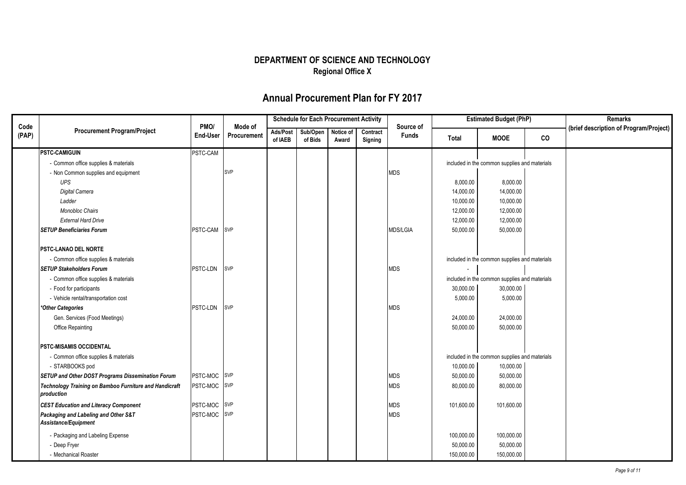|               |                                                                      |                  |                        |                     | <b>Schedule for Each Procurement Activity</b> |       |                     |                           |              | <b>Estimated Budget (PhP)</b>                 |    | Remarks                                |
|---------------|----------------------------------------------------------------------|------------------|------------------------|---------------------|-----------------------------------------------|-------|---------------------|---------------------------|--------------|-----------------------------------------------|----|----------------------------------------|
| Code<br>(PAP) | <b>Procurement Program/Project</b>                                   | PMO/<br>End-User | Mode of<br>Procurement | Ads/Post<br>of IAEB | Sub/Open Notice of<br>of Bids                 | Award | Contract<br>Signing | Source of<br><b>Funds</b> | <b>Total</b> | <b>MOOE</b>                                   | co | (brief description of Program/Project) |
|               | <b>PSTC CAMIGUIN</b>                                                 | PSTC-CAM         |                        |                     |                                               |       |                     |                           |              |                                               |    |                                        |
|               | - Common office supplies & materials                                 |                  |                        |                     |                                               |       |                     |                           |              | included in the common supplies and materials |    |                                        |
|               | - Non Common supplies and equipment                                  |                  | SVP                    |                     |                                               |       |                     | <b>MDS</b>                |              |                                               |    |                                        |
|               | <b>UPS</b>                                                           |                  |                        |                     |                                               |       |                     |                           | 8,000.00     | 8,000.00                                      |    |                                        |
|               | Digital Camera                                                       |                  |                        |                     |                                               |       |                     |                           | 14,000.00    | 14,000.00                                     |    |                                        |
|               | Ladder                                                               |                  |                        |                     |                                               |       |                     |                           | 10,000.00    | 10,000.00                                     |    |                                        |
|               | <b>Monobloc Chairs</b>                                               |                  |                        |                     |                                               |       |                     |                           | 12,000.00    | 12,000.00                                     |    |                                        |
|               | <b>External Hard Drive</b>                                           |                  |                        |                     |                                               |       |                     |                           | 12,000.00    | 12,000.00                                     |    |                                        |
|               | <b>SETUP Beneficiaries Forum</b>                                     | PSTC-CAM SVP     |                        |                     |                                               |       |                     | <b>MDS/LGIA</b>           | 50,000.00    | 50,000.00                                     |    |                                        |
|               | <b>PSTC-LANAO DEL NORTE</b>                                          |                  |                        |                     |                                               |       |                     |                           |              |                                               |    |                                        |
|               | - Common office supplies & materials                                 |                  |                        |                     |                                               |       |                     |                           |              | included in the common supplies and materials |    |                                        |
|               | <b>SETUP Stakeholders Forum</b>                                      | PSTC-LDN         | <b>SVP</b>             |                     |                                               |       |                     | <b>MDS</b>                |              |                                               |    |                                        |
|               | - Common office supplies & materials                                 |                  |                        |                     |                                               |       |                     |                           |              | included in the common supplies and materials |    |                                        |
|               | - Food for participants                                              |                  |                        |                     |                                               |       |                     |                           | 30,000.00    | 30,000.00                                     |    |                                        |
|               | - Vehicle rental/transportation cost                                 |                  |                        |                     |                                               |       |                     |                           | 5,000.00     | 5,000.00                                      |    |                                        |
|               | *Other Categories                                                    | PSTC-LDN         | <b>SVP</b>             |                     |                                               |       |                     | <b>MDS</b>                |              |                                               |    |                                        |
|               | Gen. Services (Food Meetings)                                        |                  |                        |                     |                                               |       |                     |                           | 24,000.00    | 24,000.00                                     |    |                                        |
|               | <b>Office Repainting</b>                                             |                  |                        |                     |                                               |       |                     |                           | 50,000.00    | 50,000.00                                     |    |                                        |
|               | <b>PSTC-MISAMIS OCCIDENTAL</b>                                       |                  |                        |                     |                                               |       |                     |                           |              |                                               |    |                                        |
|               | - Common office supplies & materials                                 |                  |                        |                     |                                               |       |                     |                           |              | included in the common supplies and materials |    |                                        |
|               | - STARBOOKS pod                                                      |                  |                        |                     |                                               |       |                     |                           | 10,000.00    | 10,000.00                                     |    |                                        |
|               | SETUP and Other DOST Programs Dissemination Forum                    | PSTC-MOC SVP     |                        |                     |                                               |       |                     | MDS                       | 50,000.00    | 50,000.00                                     |    |                                        |
|               | Technology Training on Bamboo Furniture and Handicraft<br>production | PSTC-MOC SVP     |                        |                     |                                               |       |                     | <b>MDS</b>                | 80,000.00    | 80,000.00                                     |    |                                        |
|               | <b>CEST Education and Literacy Component</b>                         | PSTC-MOC SVP     |                        |                     |                                               |       |                     | <b>MDS</b>                | 101,600.00   | 101,600.00                                    |    |                                        |
|               | Packaging and Labeling and Other S&T<br>Assistance/Equipment         | PSTC-MOC SVP     |                        |                     |                                               |       |                     | <b>MDS</b>                |              |                                               |    |                                        |
|               |                                                                      |                  |                        |                     |                                               |       |                     |                           |              |                                               |    |                                        |
|               | - Packaging and Labeling Expense                                     |                  |                        |                     |                                               |       |                     |                           | 100,000.00   | 100,000.00                                    |    |                                        |
|               | - Deep Fryer                                                         |                  |                        |                     |                                               |       |                     |                           | 50,000.00    | 50,000.00                                     |    |                                        |
|               | - Mechanical Roaster                                                 |                  |                        |                     |                                               |       |                     |                           | 150,000.00   | 150,000.00                                    |    |                                        |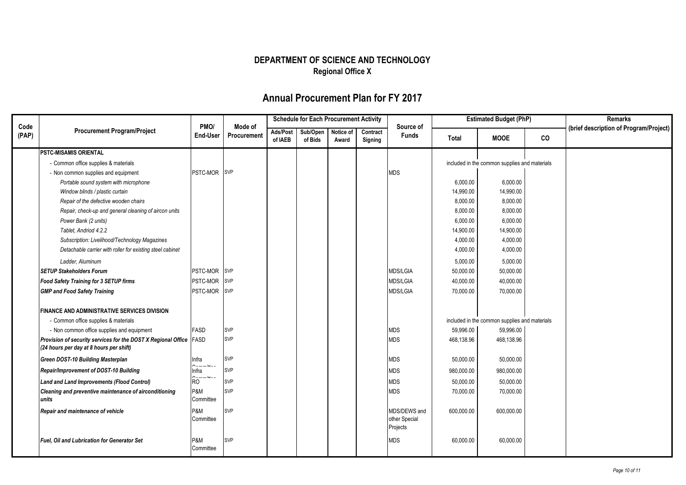|               |                                                                                                               |                    |                        |                     | <b>Schedule for Each Procurement Activity</b> |                    |                     |                                           |            | <b>Estimated Budget (PhP)</b>                 |    | Remarks                                |
|---------------|---------------------------------------------------------------------------------------------------------------|--------------------|------------------------|---------------------|-----------------------------------------------|--------------------|---------------------|-------------------------------------------|------------|-----------------------------------------------|----|----------------------------------------|
| Code<br>(PAP) | <b>Procurement Program/Project</b>                                                                            | PMO/<br>End-User   | Mode of<br>Procurement | Ads/Post<br>of IAEB | Sub/Open<br>of Bids                           | Notice of<br>Award | Contract<br>Signing | Source of<br><b>Funds</b>                 | Total      | <b>MOOE</b>                                   | co | (brief description of Program/Project) |
|               | <b>PSTC-MISAMIS ORIENTAL</b>                                                                                  |                    |                        |                     |                                               |                    |                     |                                           |            |                                               |    |                                        |
|               | - Common office supplies & materials                                                                          |                    |                        |                     |                                               |                    |                     |                                           |            | included in the common supplies and materials |    |                                        |
|               | - Non common supplies and equipment                                                                           | PSTC-MOR SVP       |                        |                     |                                               |                    |                     | <b>MDS</b>                                |            |                                               |    |                                        |
|               | Portable sound system with microphone                                                                         |                    |                        |                     |                                               |                    |                     |                                           | 6,000.00   | 6,000.00                                      |    |                                        |
|               | Window blinds / plastic curtain                                                                               |                    |                        |                     |                                               |                    |                     |                                           | 14,990.00  | 14,990.00                                     |    |                                        |
|               | Repair of the defective wooden chairs                                                                         |                    |                        |                     |                                               |                    |                     |                                           | 8,000.00   | 8,000.00                                      |    |                                        |
|               | Repair, check-up and general cleaning of aircon units                                                         |                    |                        |                     |                                               |                    |                     |                                           | 8,000.00   | 8,000.00                                      |    |                                        |
|               | Power Bank (2 units)                                                                                          |                    |                        |                     |                                               |                    |                     |                                           | 6,000.00   | 6,000.00                                      |    |                                        |
|               | Tablet, Andriod 4.2.2                                                                                         |                    |                        |                     |                                               |                    |                     |                                           | 14,900.00  | 14,900.00                                     |    |                                        |
|               | Subscription: Livelihood/Technology Magazines                                                                 |                    |                        |                     |                                               |                    |                     |                                           | 4,000.00   | 4,000.00                                      |    |                                        |
|               | Detachable carrier with roller for existing steel cabinet                                                     |                    |                        |                     |                                               |                    |                     |                                           | 4,000.00   | 4,000.00                                      |    |                                        |
|               | Ladder, Aluminum                                                                                              |                    |                        |                     |                                               |                    |                     |                                           | 5,000.00   | 5,000.00                                      |    |                                        |
|               | <b>SETUP Stakeholders Forum</b>                                                                               | PSTC-MOR SVP       |                        |                     |                                               |                    |                     | <b>MDS/LGIA</b>                           | 50,000.00  | 50,000.00                                     |    |                                        |
|               | Food Safety Training for 3 SETUP firms                                                                        | PSTC-MOR           | <b>SVP</b>             |                     |                                               |                    |                     | <b>MDS/LGIA</b>                           | 40,000.00  | 40,000.00                                     |    |                                        |
|               | <b>GMP and Food Safety Training</b>                                                                           | PSTC-MOR SVP       |                        |                     |                                               |                    |                     | <b>MDS/LGIA</b>                           | 70,000.00  | 70,000.00                                     |    |                                        |
|               | FINANCE AND ADMINISTRATIVE SERVICES DIVISION                                                                  |                    |                        |                     |                                               |                    |                     |                                           |            |                                               |    |                                        |
|               | - Common office supplies & materials                                                                          |                    |                        |                     |                                               |                    |                     |                                           |            | included in the common supplies and materials |    |                                        |
|               | - Non common office supplies and equipment                                                                    | <b>FASD</b>        | <b>SVP</b>             |                     |                                               |                    |                     | MDS                                       | 59,996.00  | 59,996.00                                     |    |                                        |
|               | Provision of security services for the DOST X Regional Office FASD<br>(24 hours per day at 8 hours per shift) |                    | <b>SVP</b>             |                     |                                               |                    |                     | MDS                                       | 468,138.96 | 468,138.96                                    |    |                                        |
|               | <b>Green DOST-10 Building Masterplan</b>                                                                      | Infra<br>$\ddotsc$ | <b>SVP</b>             |                     |                                               |                    |                     | <b>MDS</b>                                | 50,000.00  | 50,000.00                                     |    |                                        |
|               | Repair/Improvement of DOST-10 Building                                                                        | Infra              | <b>SVP</b>             |                     |                                               |                    |                     | <b>MDS</b>                                | 980,000.00 | 980,000.00                                    |    |                                        |
|               | Land and Land Improvements (Flood Control)                                                                    | <b>RO</b>          | <b>SVP</b>             |                     |                                               |                    |                     | MDS                                       | 50,000.00  | 50,000.00                                     |    |                                        |
|               | Cleaning and preventive maintenance of airconditioning<br>units                                               | P&M<br>Committee   | <b>SVP</b>             |                     |                                               |                    |                     | <b>MDS</b>                                | 70,000.00  | 70,000.00                                     |    |                                        |
|               | Repair and maintenance of vehicle                                                                             | P&M<br>Committee   | SVP                    |                     |                                               |                    |                     | MDS/DEWS and<br>other Special<br>Projects | 600,000.00 | 600,000.00                                    |    |                                        |
|               | <b>Fuel, Oil and Lubrication for Generator Set</b>                                                            | P&M<br>Committee   | <b>SVP</b>             |                     |                                               |                    |                     | <b>MDS</b>                                | 60,000.00  | 60,000.00                                     |    |                                        |